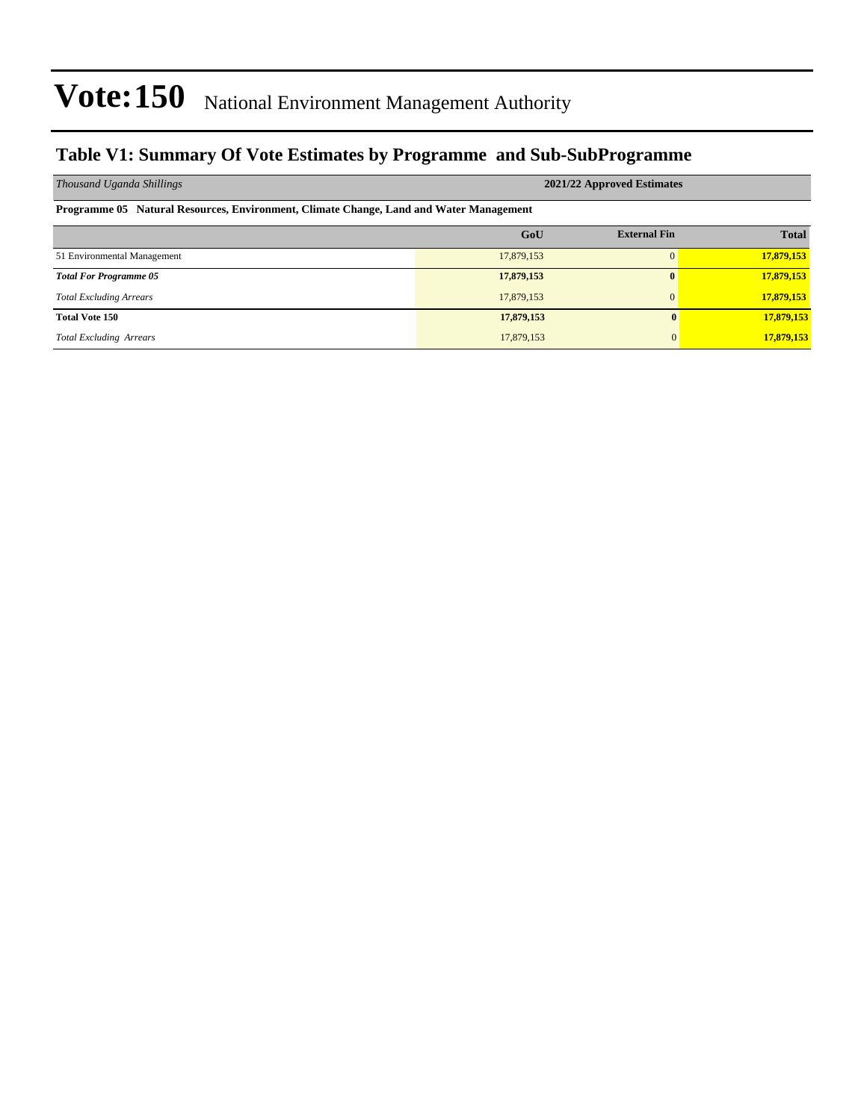## **Table V1: Summary Of Vote Estimates by Programme and Sub-SubProgramme**

| Thousand Uganda Shillings                                                              | 2021/22 Approved Estimates |                     |              |  |  |  |  |  |  |
|----------------------------------------------------------------------------------------|----------------------------|---------------------|--------------|--|--|--|--|--|--|
| Programme 05 Natural Resources, Environment, Climate Change, Land and Water Management |                            |                     |              |  |  |  |  |  |  |
|                                                                                        | GoU                        | <b>External Fin</b> | <b>Total</b> |  |  |  |  |  |  |
| 51 Environmental Management                                                            | 17,879,153                 | 0                   | 17,879,153   |  |  |  |  |  |  |
| <b>Total For Programme 05</b>                                                          | 17,879,153                 | $\mathbf{0}$        | 17,879,153   |  |  |  |  |  |  |
| <b>Total Excluding Arrears</b>                                                         | 17,879,153                 | $\Omega$            | 17,879,153   |  |  |  |  |  |  |
| <b>Total Vote 150</b>                                                                  | 17,879,153                 | $\mathbf{0}$        | 17,879,153   |  |  |  |  |  |  |
| <b>Total Excluding Arrears</b>                                                         | 17,879,153                 | $\Omega$            | 17,879,153   |  |  |  |  |  |  |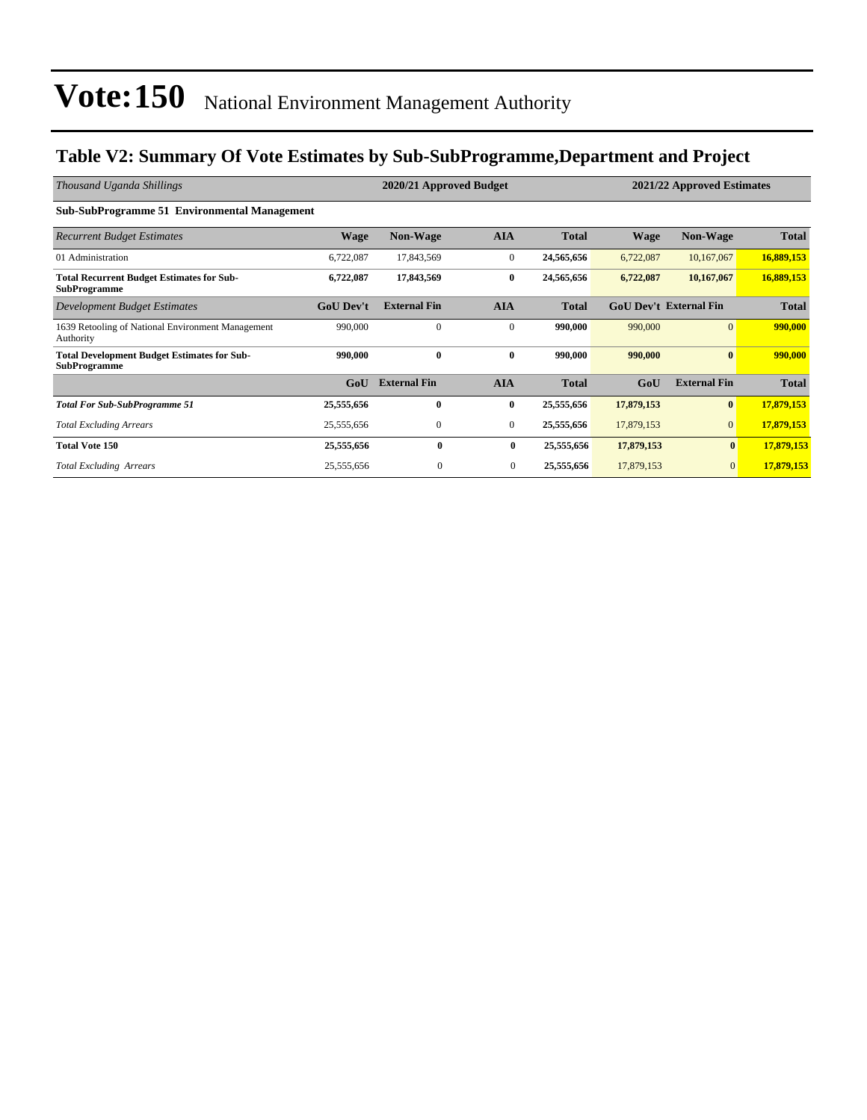## **Table V2: Summary Of Vote Estimates by Sub-SubProgramme,Department and Project**

| Thousand Uganda Shillings                                                 |                  | 2020/21 Approved Budget<br>2021/22 Approved Estimates |                |              |             |                               |              |  |
|---------------------------------------------------------------------------|------------------|-------------------------------------------------------|----------------|--------------|-------------|-------------------------------|--------------|--|
| <b>Sub-SubProgramme 51 Environmental Management</b>                       |                  |                                                       |                |              |             |                               |              |  |
| <b>Recurrent Budget Estimates</b>                                         | <b>Wage</b>      | <b>Non-Wage</b>                                       | <b>AIA</b>     | <b>Total</b> | <b>Wage</b> | <b>Non-Wage</b>               | <b>Total</b> |  |
| 01 Administration                                                         | 6,722,087        | 17,843,569                                            | $\overline{0}$ | 24,565,656   | 6,722,087   | 10,167,067                    | 16,889,153   |  |
| <b>Total Recurrent Budget Estimates for Sub-</b><br><b>SubProgramme</b>   | 6,722,087        | 17,843,569                                            | $\bf{0}$       | 24,565,656   | 6,722,087   | 10,167,067                    | 16,889,153   |  |
| <b>Development Budget Estimates</b>                                       | <b>GoU</b> Dev't | <b>External Fin</b>                                   | <b>AIA</b>     | <b>Total</b> |             | <b>GoU Dev't External Fin</b> | <b>Total</b> |  |
| 1639 Retooling of National Environment Management<br>Authority            | 990,000          | $\mathbf{0}$                                          | $\mathbf{0}$   | 990,000      | 990,000     | $\overline{0}$                | 990,000      |  |
| <b>Total Development Budget Estimates for Sub-</b><br><b>SubProgramme</b> | 990,000          | $\mathbf{0}$                                          | $\bf{0}$       | 990,000      | 990,000     | $\bf{0}$                      | 990,000      |  |
|                                                                           | GoU              | <b>External Fin</b>                                   | <b>AIA</b>     | <b>Total</b> | GoU         | <b>External Fin</b>           | <b>Total</b> |  |
| <b>Total For Sub-SubProgramme 51</b>                                      | 25,555,656       | $\bf{0}$                                              | $\bf{0}$       | 25,555,656   | 17,879,153  | $\bf{0}$                      | 17,879,153   |  |
| <b>Total Excluding Arrears</b>                                            | 25,555,656       | $\mathbf{0}$                                          | $\mathbf{0}$   | 25,555,656   | 17,879,153  | $\overline{0}$                | 17,879,153   |  |
| <b>Total Vote 150</b>                                                     | 25,555,656       | 0                                                     | $\mathbf{0}$   | 25,555,656   | 17,879,153  | $\mathbf{0}$                  | 17,879,153   |  |
| <b>Total Excluding Arrears</b>                                            | 25,555,656       | $\mathbf{0}$                                          | $\mathbf{0}$   | 25,555,656   | 17,879,153  | $\mathbf{0}$                  | 17,879,153   |  |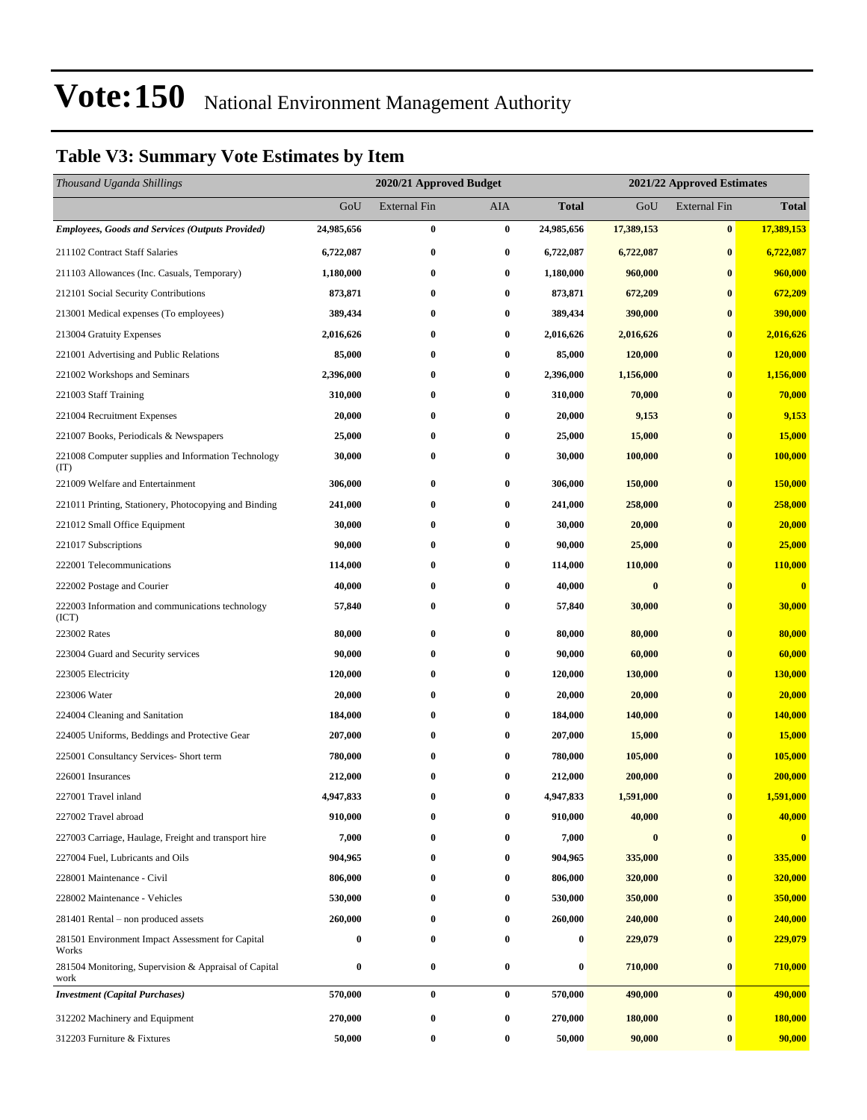## **Table V3: Summary Vote Estimates by Item**

| Thousand Uganda Shillings                                     |                  | 2021/22 Approved Estimates<br>2020/21 Approved Budget |                  |              |            |                     |                  |
|---------------------------------------------------------------|------------------|-------------------------------------------------------|------------------|--------------|------------|---------------------|------------------|
|                                                               | GoU              | <b>External Fin</b>                                   | AIA              | <b>Total</b> | GoU        | <b>External Fin</b> | <b>Total</b>     |
| Employees, Goods and Services (Outputs Provided)              | 24,985,656       | $\bf{0}$                                              | $\bf{0}$         | 24,985,656   | 17,389,153 | $\bf{0}$            | 17,389,153       |
| 211102 Contract Staff Salaries                                | 6,722,087        | $\bf{0}$                                              | $\bf{0}$         | 6,722,087    | 6,722,087  | $\bf{0}$            | 6,722,087        |
| 211103 Allowances (Inc. Casuals, Temporary)                   | 1,180,000        | $\bf{0}$                                              | $\bf{0}$         | 1,180,000    | 960,000    | $\bf{0}$            | 960,000          |
| 212101 Social Security Contributions                          | 873,871          | $\bf{0}$                                              | $\bf{0}$         | 873,871      | 672,209    | $\bf{0}$            | 672,209          |
| 213001 Medical expenses (To employees)                        | 389,434          | $\bf{0}$                                              | $\bf{0}$         | 389,434      | 390,000    | $\bf{0}$            | 390,000          |
| 213004 Gratuity Expenses                                      | 2,016,626        | $\bf{0}$                                              | $\bf{0}$         | 2,016,626    | 2,016,626  | $\bf{0}$            | 2,016,626        |
| 221001 Advertising and Public Relations                       | 85,000           | $\bf{0}$                                              | 0                | 85,000       | 120,000    | $\bf{0}$            | 120,000          |
| 221002 Workshops and Seminars                                 | 2,396,000        | $\bf{0}$                                              | $\boldsymbol{0}$ | 2,396,000    | 1,156,000  | $\bf{0}$            | 1,156,000        |
| 221003 Staff Training                                         | 310,000          | $\bf{0}$                                              | $\bf{0}$         | 310,000      | 70,000     | $\bf{0}$            | 70,000           |
| 221004 Recruitment Expenses                                   | 20,000           | $\bf{0}$                                              | 0                | 20,000       | 9,153      | $\bf{0}$            | 9,153            |
| 221007 Books, Periodicals & Newspapers                        | 25,000           | $\bf{0}$                                              | $\bf{0}$         | 25,000       | 15,000     | $\bf{0}$            | 15,000           |
| 221008 Computer supplies and Information Technology<br>(TT)   | 30,000           | $\bf{0}$                                              | 0                | 30,000       | 100,000    | $\bf{0}$            | 100,000          |
| 221009 Welfare and Entertainment                              | 306,000          | $\bf{0}$                                              | 0                | 306,000      | 150,000    | $\bf{0}$            | 150,000          |
| 221011 Printing, Stationery, Photocopying and Binding         | 241,000          | $\bf{0}$                                              | $\bf{0}$         | 241,000      | 258,000    | $\bf{0}$            | 258,000          |
| 221012 Small Office Equipment                                 | 30,000           | $\bf{0}$                                              | $\bf{0}$         | 30,000       | 20,000     | $\bf{0}$            | 20,000           |
| 221017 Subscriptions                                          | 90,000           | $\bf{0}$                                              | 0                | 90,000       | 25,000     | $\bf{0}$            | 25,000           |
| 222001 Telecommunications                                     | 114,000          | $\bf{0}$                                              | $\bf{0}$         | 114,000      | 110,000    | $\bf{0}$            | <b>110,000</b>   |
| 222002 Postage and Courier                                    | 40,000           | $\bf{0}$                                              | 0                | 40,000       | $\bf{0}$   | $\bf{0}$            | $\boldsymbol{0}$ |
| 222003 Information and communications technology<br>(ICT)     | 57,840           | $\bf{0}$                                              | 0                | 57,840       | 30,000     | $\bf{0}$            | 30,000           |
| 223002 Rates                                                  | 80,000           | $\bf{0}$                                              | $\bf{0}$         | 80,000       | 80,000     | $\bf{0}$            | 80,000           |
| 223004 Guard and Security services                            | 90,000           | $\bf{0}$                                              | $\bf{0}$         | 90,000       | 60,000     | $\bf{0}$            | 60,000           |
| 223005 Electricity                                            | 120,000          | $\bf{0}$                                              | $\bf{0}$         | 120,000      | 130,000    | $\bf{0}$            | 130,000          |
| 223006 Water                                                  | 20,000           | $\bf{0}$                                              | 0                | 20,000       | 20,000     | $\bf{0}$            | 20,000           |
| 224004 Cleaning and Sanitation                                | 184,000          | $\bf{0}$                                              | 0                | 184,000      | 140,000    | $\bf{0}$            | 140,000          |
| 224005 Uniforms, Beddings and Protective Gear                 | 207,000          | $\bf{0}$                                              | $\bf{0}$         | 207,000      | 15,000     | $\bf{0}$            | 15,000           |
| 225001 Consultancy Services- Short term                       | 780,000          | $\bf{0}$                                              | 0                | 780,000      | 105,000    | $\bf{0}$            | 105,000          |
| 226001 Insurances                                             | 212,000          | $\bf{0}$                                              | $\bf{0}$         | 212,000      | 200,000    | $\bf{0}$            | 200,000          |
| 227001 Travel inland                                          | 4,947,833        | $\bf{0}$                                              | $\bf{0}$         | 4,947,833    | 1,591,000  | $\bf{0}$            | 1,591,000        |
| 227002 Travel abroad                                          | 910,000          | $\bf{0}$                                              | $\bf{0}$         | 910,000      | 40,000     | $\boldsymbol{0}$    | 40,000           |
| 227003 Carriage, Haulage, Freight and transport hire          | 7,000            | 0                                                     | 0                | 7,000        | $\bf{0}$   | $\bf{0}$            | $\bf{0}$         |
| 227004 Fuel, Lubricants and Oils                              | 904,965          | $\bf{0}$                                              | $\bf{0}$         | 904,965      | 335,000    | $\bf{0}$            | 335,000          |
| 228001 Maintenance - Civil                                    | 806,000          | $\bf{0}$                                              | $\boldsymbol{0}$ | 806,000      | 320,000    | $\bf{0}$            | 320,000          |
| 228002 Maintenance - Vehicles                                 | 530,000          | $\bf{0}$                                              | $\bf{0}$         | 530,000      | 350,000    | $\bf{0}$            | 350,000          |
| 281401 Rental – non produced assets                           | 260,000          | $\bf{0}$                                              | $\bf{0}$         | 260,000      | 240,000    | $\bf{0}$            | 240,000          |
| 281501 Environment Impact Assessment for Capital<br>Works     | $\bf{0}$         | $\bf{0}$                                              | $\bf{0}$         | 0            | 229,079    | $\bf{0}$            | 229,079          |
| 281504 Monitoring, Supervision & Appraisal of Capital<br>work | $\boldsymbol{0}$ | $\bf{0}$                                              | $\bf{0}$         | 0            | 710,000    | $\bf{0}$            | 710,000          |
| <b>Investment</b> (Capital Purchases)                         | 570,000          | $\bf{0}$                                              | $\bf{0}$         | 570,000      | 490,000    | $\bf{0}$            | 490,000          |
| 312202 Machinery and Equipment                                | 270,000          | $\bf{0}$                                              | $\bf{0}$         | 270,000      | 180,000    | $\bf{0}$            | 180,000          |
| 312203 Furniture & Fixtures                                   | 50,000           | $\bf{0}$                                              | $\boldsymbol{0}$ | 50,000       | 90,000     | $\bf{0}$            | 90,000           |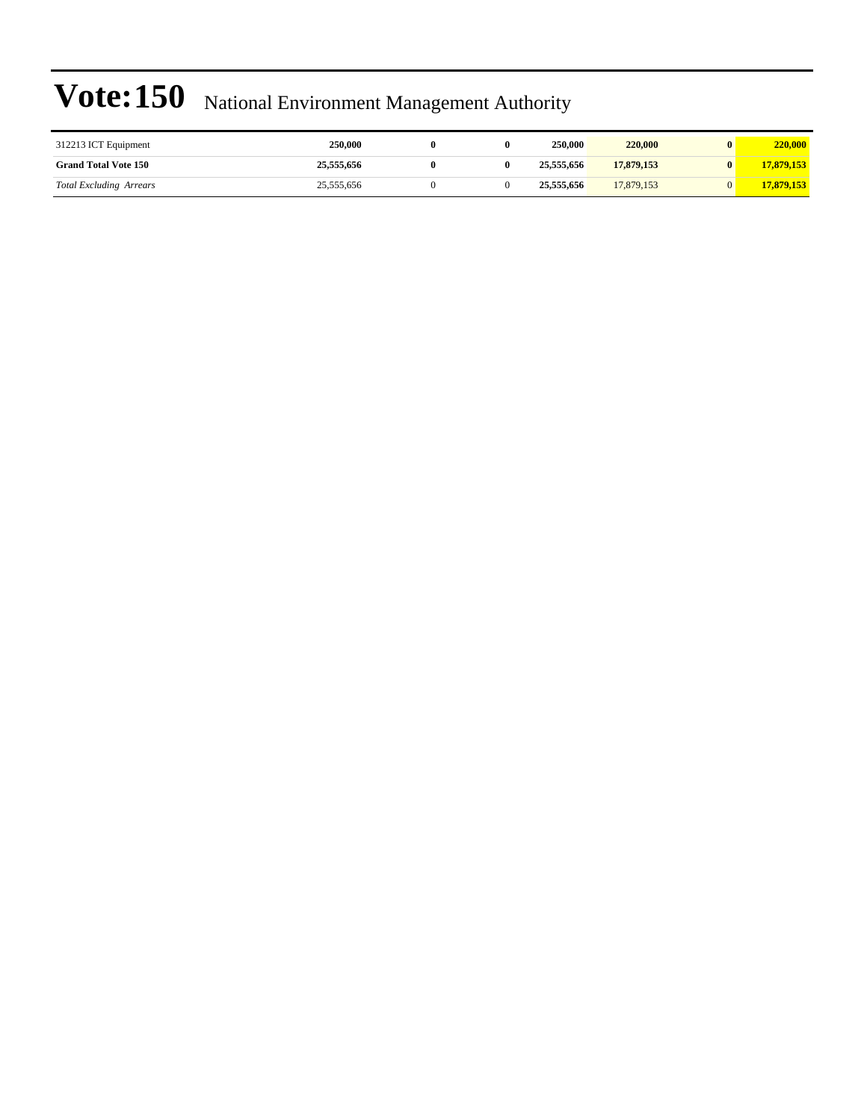| 312213 ICT Equipment           | <b>250,000</b> |  | 250,000    | 220,000    | $\bf{0}$ | 220,000    |
|--------------------------------|----------------|--|------------|------------|----------|------------|
| <b>Grand Total Vote 150</b>    | 25,555,656     |  | 25,555,656 | 17,879,153 | 0        | 17,879,153 |
| <b>Total Excluding Arrears</b> | 25,555,656     |  | 25,555,656 | 17,879,153 |          | 17,879,153 |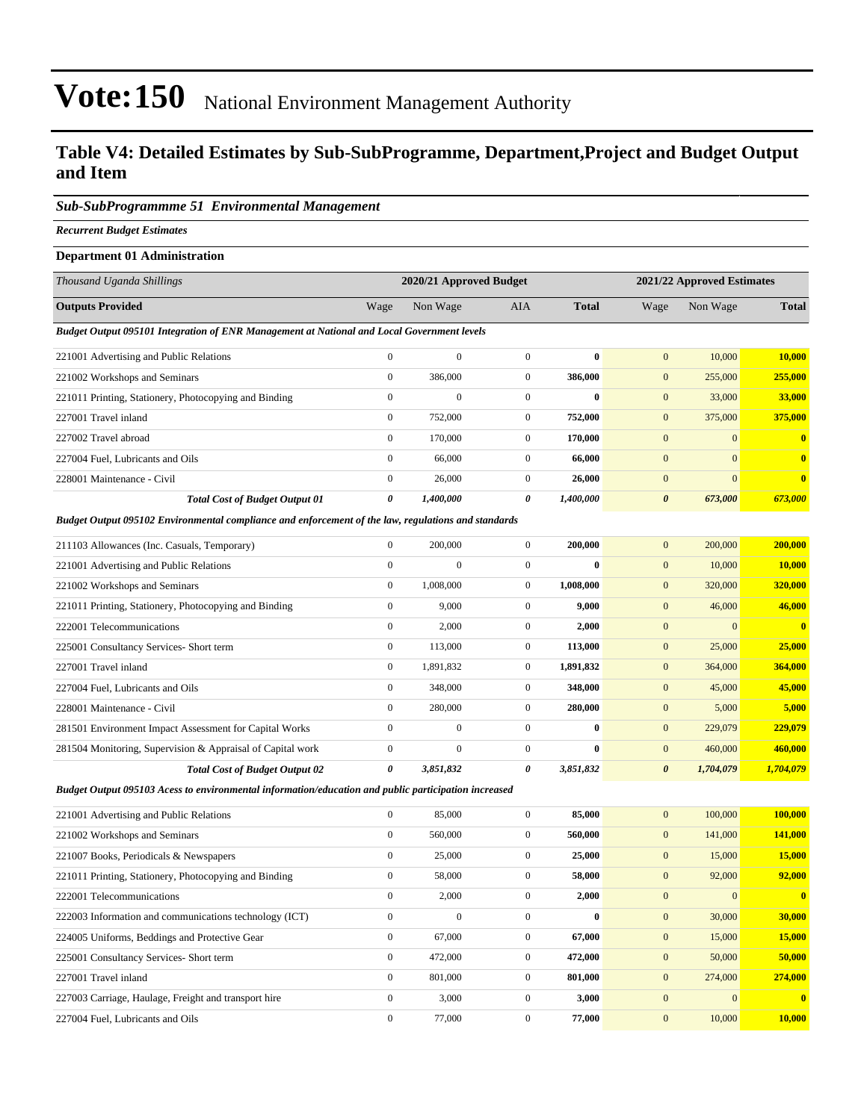### **Table V4: Detailed Estimates by Sub-SubProgramme, Department,Project and Budget Output and Item**

#### *Sub-SubProgrammme 51 Environmental Management*

*Recurrent Budget Estimates*

#### **Department 01 Administration**

| Thousand Uganda Shillings                                                                                | 2020/21 Approved Budget |              |                |              |                       | 2021/22 Approved Estimates |              |  |
|----------------------------------------------------------------------------------------------------------|-------------------------|--------------|----------------|--------------|-----------------------|----------------------------|--------------|--|
| <b>Outputs Provided</b>                                                                                  | Wage                    | Non Wage     | <b>AIA</b>     | <b>Total</b> | Wage                  | Non Wage                   | <b>Total</b> |  |
| Budget Output 095101 Integration of ENR Management at National and Local Government levels               |                         |              |                |              |                       |                            |              |  |
| 221001 Advertising and Public Relations                                                                  | $\mathbf{0}$            | $\mathbf{0}$ | $\Omega$       | $\mathbf{0}$ | $\mathbf{0}$          | 10,000                     | 10,000       |  |
| 221002 Workshops and Seminars                                                                            | $\mathbf{0}$            | 386,000      | $\overline{0}$ | 386,000      | $\mathbf{0}$          | 255,000                    | 255,000      |  |
| 221011 Printing, Stationery, Photocopying and Binding                                                    | $\mathbf{0}$            | $\mathbf{0}$ | $\Omega$       | $\mathbf{0}$ | $\mathbf{0}$          | 33,000                     | 33,000       |  |
| 227001 Travel inland                                                                                     | $\mathbf{0}$            | 752,000      | $\mathbf{0}$   | 752,000      | $\mathbf{0}$          | 375,000                    | 375,000      |  |
| 227002 Travel abroad                                                                                     | $\mathbf{0}$            | 170,000      | $\mathbf{0}$   | 170,000      | $\mathbf{0}$          | $\Omega$                   |              |  |
| 227004 Fuel, Lubricants and Oils                                                                         | $\mathbf{0}$            | 66,000       | $\mathbf{0}$   | 66,000       | $\mathbf{0}$          | $\Omega$                   | $\bf{0}$     |  |
| 228001 Maintenance - Civil                                                                               | $\mathbf{0}$            | 26,000       | $\mathbf{0}$   | 26,000       | $\mathbf{0}$          | $\Omega$                   | $\bf{0}$     |  |
| <b>Total Cost of Budget Output 01</b>                                                                    | 0                       | 1,400,000    | 0              | 1,400,000    | $\boldsymbol{\theta}$ | 673,000                    | 673,000      |  |
| De Jacob Occasion 005100 Factorium and al consultance and and on many of the Jacob members and standards |                         |              |                |              |                       |                            |              |  |

*Budget Output 095102 Environmental compliance and enforcement of the law, regulations and standards*

| 211103 Allowances (Inc. Casuals, Temporary)                | $\mathbf{0}$   | 200,000      | $\mathbf{0}$   | 200,000   | $\mathbf{0}$<br>200,000            | 200,000        |
|------------------------------------------------------------|----------------|--------------|----------------|-----------|------------------------------------|----------------|
| 221001 Advertising and Public Relations                    | $\mathbf{0}$   | $\mathbf{0}$ | $\mathbf{0}$   | $\bf{0}$  | $\mathbf{0}$<br>10,000             | 10,000         |
| 221002 Workshops and Seminars                              | $\overline{0}$ | 1,008,000    | $\overline{0}$ | 1,008,000 | $\mathbf{0}$<br>320,000            | 320,000        |
| 221011 Printing, Stationery, Photocopying and Binding      | $\mathbf{0}$   | 9,000        | $\mathbf{0}$   | 9,000     | $\mathbf{0}$<br>46,000             | 46,000         |
| 222001 Telecommunications                                  | $\mathbf{0}$   | 2,000        | $\mathbf{0}$   | 2,000     | $\mathbf{0}$                       | $\overline{0}$ |
| 225001 Consultancy Services- Short term                    | $\overline{0}$ | 113,000      | $\overline{0}$ | 113,000   | 25,000<br>$\mathbf{0}$             | 25,000         |
| 227001 Travel inland                                       | $\overline{0}$ | 1,891,832    | $\overline{0}$ | 1,891,832 | $\mathbf{0}$<br>364,000            | 364,000        |
| 227004 Fuel, Lubricants and Oils                           | $\mathbf{0}$   | 348,000      | $\mathbf{0}$   | 348,000   | 45,000<br>$\mathbf{0}$             | 45,000         |
| 228001 Maintenance - Civil                                 | $\mathbf{0}$   | 280,000      | $\mathbf{0}$   | 280,000   | $\mathbf{0}$<br>5,000              | 5,000          |
| 281501 Environment Impact Assessment for Capital Works     | $\mathbf{0}$   | $\mathbf{0}$ | $\mathbf{0}$   | $\bf{0}$  | $\mathbf{0}$<br>229,079            | 229,079        |
| 281504 Monitoring, Supervision & Appraisal of Capital work | $\mathbf{0}$   | $\mathbf{0}$ | $\mathbf{0}$   | $\bf{0}$  | $\mathbf{0}$<br>460,000            | 460,000        |
| <b>Total Cost of Budget Output 02</b>                      | 0              | 3,851,832    | 0              | 3,851,832 | $\boldsymbol{\theta}$<br>1,704,079 | 1,704,079      |

*Budget Output 095103 Acess to environmental information/education and public participation increased*

| 221001 Advertising and Public Relations                | $\mathbf{0}$ | 85,000       | $\Omega$     | 85,000       | 100,000<br>$\mathbf{0}$  | 100.000      |
|--------------------------------------------------------|--------------|--------------|--------------|--------------|--------------------------|--------------|
| 221002 Workshops and Seminars                          | $\mathbf{0}$ | 560,000      | $\mathbf{0}$ | 560,000      | 141,000<br>$\mathbf{0}$  | 141,000      |
| 221007 Books, Periodicals & Newspapers                 | $\mathbf{0}$ | 25,000       | $\mathbf{0}$ | 25,000       | 15,000<br>$\mathbf{0}$   | 15,000       |
| 221011 Printing, Stationery, Photocopying and Binding  | $\mathbf{0}$ | 58,000       | $\mathbf{0}$ | 58,000       | 92,000<br>$\mathbf{0}$   | 92,000       |
| 222001 Telecommunications                              | $\mathbf{0}$ | 2,000        | $\mathbf{0}$ | 2,000        | $\mathbf{0}$<br>$\Omega$ | $\mathbf{0}$ |
| 222003 Information and communications technology (ICT) | $\mathbf{0}$ | $\mathbf{0}$ | $\mathbf{0}$ | $\mathbf{0}$ | 30,000<br>$\mathbf{0}$   | 30,000       |
| 224005 Uniforms, Beddings and Protective Gear          | $\mathbf{0}$ | 67,000       | $\mathbf{0}$ | 67.000       | 15,000<br>$\mathbf{0}$   | 15,000       |
| 225001 Consultancy Services- Short term                | $\mathbf{0}$ | 472,000      | $\mathbf{0}$ | 472,000      | 50,000<br>$\mathbf{0}$   | 50,000       |
| 227001 Travel inland                                   | $\mathbf{0}$ | 801,000      | $\mathbf{0}$ | 801,000      | 274,000<br>$\mathbf{0}$  | 274,000      |
| 227003 Carriage, Haulage, Freight and transport hire   | $\mathbf{0}$ | 3,000        | $\mathbf{0}$ | 3,000        | $\mathbf{0}$<br>$\Omega$ | $\mathbf{0}$ |
| 227004 Fuel. Lubricants and Oils                       | $\Omega$     | 77,000       | $\Omega$     | 77,000       | $\mathbf{0}$<br>10,000   | 10.000       |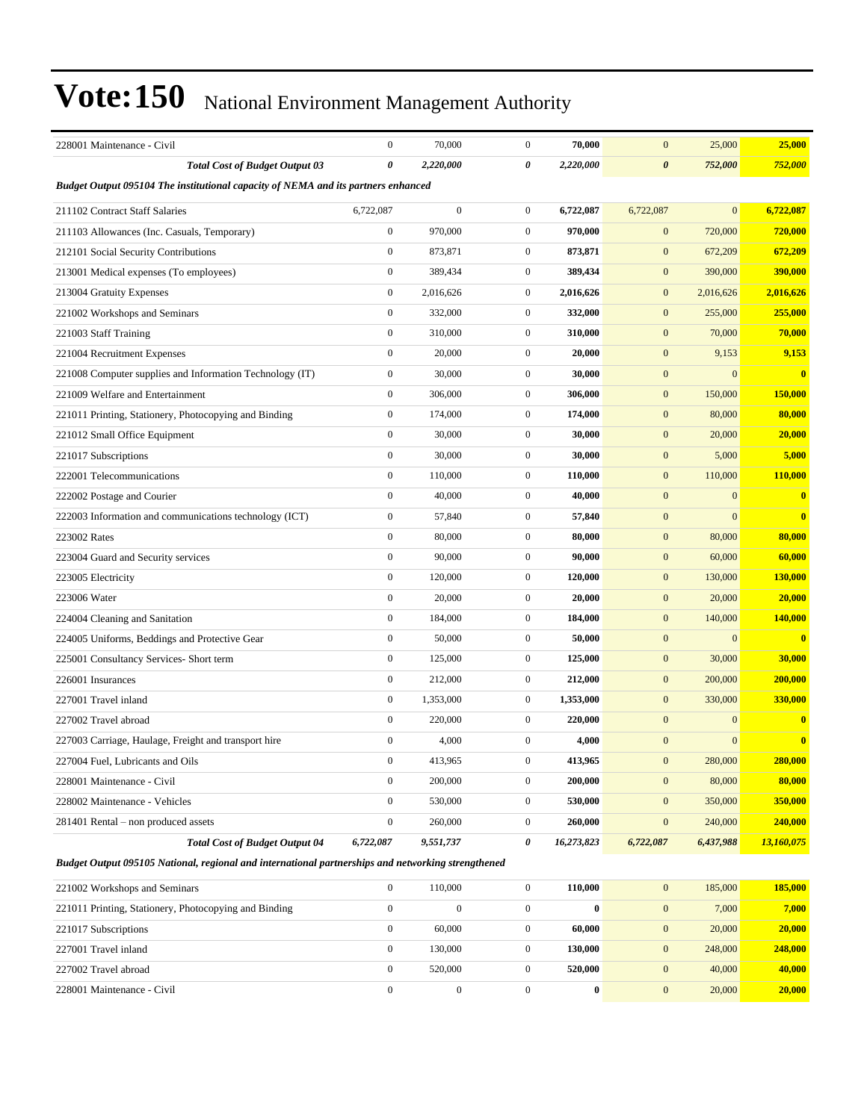| 228001 Maintenance - Civil                                                                         | $\boldsymbol{0}$      | 70,000           | $\mathbf{0}$     | 70,000     | $\mathbf{0}$          | 25,000           | 25,000     |  |  |
|----------------------------------------------------------------------------------------------------|-----------------------|------------------|------------------|------------|-----------------------|------------------|------------|--|--|
| <b>Total Cost of Budget Output 03</b>                                                              | $\boldsymbol{\theta}$ | 2,220,000        | 0                | 2,220,000  | $\boldsymbol{\theta}$ | 752,000          | 752,000    |  |  |
| Budget Output 095104 The institutional capacity of NEMA and its partners enhanced                  |                       |                  |                  |            |                       |                  |            |  |  |
| 211102 Contract Staff Salaries                                                                     | 6,722,087             | $\boldsymbol{0}$ | $\mathbf{0}$     | 6,722,087  | 6,722,087             | $\mathbf{0}$     | 6,722,087  |  |  |
| 211103 Allowances (Inc. Casuals, Temporary)                                                        | $\boldsymbol{0}$      | 970,000          | $\mathbf{0}$     | 970,000    | $\mathbf{0}$          | 720,000          | 720,000    |  |  |
| 212101 Social Security Contributions                                                               | $\boldsymbol{0}$      | 873,871          | $\overline{0}$   | 873,871    | $\boldsymbol{0}$      | 672,209          | 672,209    |  |  |
| 213001 Medical expenses (To employees)                                                             | $\boldsymbol{0}$      | 389,434          | $\mathbf{0}$     | 389,434    | $\mathbf{0}$          | 390,000          | 390,000    |  |  |
| 213004 Gratuity Expenses                                                                           | $\boldsymbol{0}$      | 2,016,626        | $\mathbf{0}$     | 2,016,626  | $\mathbf{0}$          | 2,016,626        | 2,016,626  |  |  |
| 221002 Workshops and Seminars                                                                      | $\mathbf{0}$          | 332,000          | $\mathbf{0}$     | 332,000    | $\mathbf{0}$          | 255,000          | 255,000    |  |  |
| 221003 Staff Training                                                                              | $\boldsymbol{0}$      | 310,000          | $\mathbf{0}$     | 310,000    | $\mathbf{0}$          | 70,000           | 70,000     |  |  |
| 221004 Recruitment Expenses                                                                        | $\boldsymbol{0}$      | 20,000           | $\mathbf{0}$     | 20,000     | $\mathbf{0}$          | 9,153            | 9,153      |  |  |
| 221008 Computer supplies and Information Technology (IT)                                           | $\boldsymbol{0}$      | 30,000           | $\mathbf{0}$     | 30,000     | $\mathbf{0}$          | $\mathbf{0}$     | $\bf{0}$   |  |  |
| 221009 Welfare and Entertainment                                                                   | $\boldsymbol{0}$      | 306,000          | $\mathbf{0}$     | 306,000    | $\mathbf{0}$          | 150,000          | 150,000    |  |  |
| 221011 Printing, Stationery, Photocopying and Binding                                              | $\mathbf{0}$          | 174,000          | $\mathbf{0}$     | 174,000    | $\mathbf{0}$          | 80,000           | 80,000     |  |  |
| 221012 Small Office Equipment                                                                      | $\boldsymbol{0}$      | 30,000           | $\mathbf{0}$     | 30,000     | $\mathbf{0}$          | 20,000           | 20,000     |  |  |
| 221017 Subscriptions                                                                               | $\boldsymbol{0}$      | 30,000           | $\mathbf{0}$     | 30,000     | $\mathbf{0}$          | 5,000            | 5,000      |  |  |
| 222001 Telecommunications                                                                          | $\boldsymbol{0}$      | 110,000          | $\mathbf{0}$     | 110,000    | $\mathbf{0}$          | 110,000          | 110,000    |  |  |
| 222002 Postage and Courier                                                                         | $\boldsymbol{0}$      | 40,000           | $\mathbf{0}$     | 40,000     | $\mathbf{0}$          | $\mathbf{0}$     | $\bf{0}$   |  |  |
| 222003 Information and communications technology (ICT)                                             | $\boldsymbol{0}$      | 57,840           | $\overline{0}$   | 57,840     | $\mathbf{0}$          | $\mathbf{0}$     | $\bf{0}$   |  |  |
| 223002 Rates                                                                                       | $\boldsymbol{0}$      | 80,000           | $\mathbf{0}$     | 80,000     | $\mathbf{0}$          | 80,000           | 80,000     |  |  |
| 223004 Guard and Security services                                                                 | $\boldsymbol{0}$      | 90,000           | $\overline{0}$   | 90,000     | $\mathbf{0}$          | 60,000           | 60,000     |  |  |
| 223005 Electricity                                                                                 | $\boldsymbol{0}$      | 120,000          | $\mathbf{0}$     | 120,000    | $\mathbf{0}$          | 130,000          | 130,000    |  |  |
| 223006 Water                                                                                       | $\boldsymbol{0}$      | 20,000           | $\mathbf{0}$     | 20,000     | $\mathbf{0}$          | 20,000           | 20,000     |  |  |
| 224004 Cleaning and Sanitation                                                                     | $\boldsymbol{0}$      | 184,000          | $\mathbf{0}$     | 184,000    | $\mathbf{0}$          | 140,000          | 140,000    |  |  |
| 224005 Uniforms, Beddings and Protective Gear                                                      | $\boldsymbol{0}$      | 50,000           | $\mathbf{0}$     | 50,000     | $\mathbf{0}$          | $\boldsymbol{0}$ | $\bf{0}$   |  |  |
| 225001 Consultancy Services- Short term                                                            | $\boldsymbol{0}$      | 125,000          | $\mathbf{0}$     | 125,000    | $\mathbf{0}$          | 30,000           | 30,000     |  |  |
| 226001 Insurances                                                                                  | $\boldsymbol{0}$      | 212,000          | $\mathbf{0}$     | 212,000    | $\mathbf{0}$          | 200,000          | 200,000    |  |  |
| 227001 Travel inland                                                                               | $\boldsymbol{0}$      | 1,353,000        | $\mathbf{0}$     | 1,353,000  | $\mathbf{0}$          | 330,000          | 330,000    |  |  |
| 227002 Travel abroad                                                                               | $\mathbf{0}$          | 220,000          | $\mathbf{0}$     | 220,000    | $\mathbf{0}$          | $\boldsymbol{0}$ | $\bf{0}$   |  |  |
| 227003 Carriage, Haulage, Freight and transport hire                                               | $\boldsymbol{0}$      | 4,000            | $\mathbf{0}$     | 4,000      | $\mathbf{0}$          | $\mathbf{0}$     | $\bf{0}$   |  |  |
| 227004 Fuel, Lubricants and Oils                                                                   | 0                     | 413,965          | 0                | 413,965    | $\boldsymbol{0}$      | 280,000          | 280,000    |  |  |
| 228001 Maintenance - Civil                                                                         | $\boldsymbol{0}$      | 200,000          | $\mathbf{0}$     | 200,000    | $\bf{0}$              | 80,000           | 80,000     |  |  |
| 228002 Maintenance - Vehicles                                                                      | $\boldsymbol{0}$      | 530,000          | $\boldsymbol{0}$ | 530,000    | $\mathbf{0}$          | 350,000          | 350,000    |  |  |
| 281401 Rental – non produced assets                                                                | $\boldsymbol{0}$      | 260,000          | $\boldsymbol{0}$ | 260,000    | $\boldsymbol{0}$      | 240,000          | 240,000    |  |  |
| <b>Total Cost of Budget Output 04</b>                                                              | 6,722,087             | 9,551,737        | 0                | 16,273,823 | 6,722,087             | 6,437,988        | 13,160,075 |  |  |
| Budget Output 095105 National, regional and international partnerships and networking strengthened |                       |                  |                  |            |                       |                  |            |  |  |
| 221002 Workshops and Seminars                                                                      | $\boldsymbol{0}$      | 110,000          | $\boldsymbol{0}$ | 110,000    | $\mathbf{0}$          | 185,000          | 185,000    |  |  |
| 221011 Printing, Stationery, Photocopying and Binding                                              | $\boldsymbol{0}$      | $\boldsymbol{0}$ | $\mathbf{0}$     | $\bf{0}$   | $\mathbf{0}$          | 7,000            | 7,000      |  |  |
| 221017 Subscriptions                                                                               | $\boldsymbol{0}$      | 60,000           | $\boldsymbol{0}$ | 60,000     | $\mathbf{0}$          | 20,000           | 20,000     |  |  |
| 227001 Travel inland                                                                               | $\boldsymbol{0}$      | 130,000          | $\boldsymbol{0}$ | 130,000    | $\mathbf{0}$          | 248,000          | 248,000    |  |  |

227002 Travel abroad 0 520,000 0 **520,000** 0 40,000 **40,000** 228001 Maintenance - Civil 0 0 0 **0** 0 20,000 **20,000**